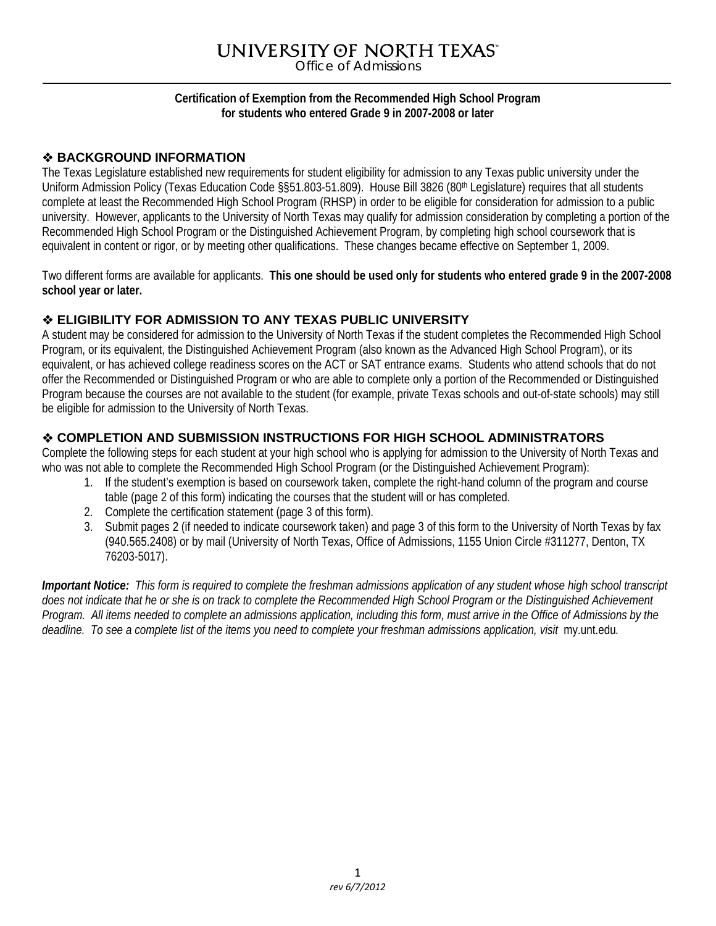# UNIVERSITY OF NORTH TEXAS"

Office of Admissions

## **Certification of Exemption from the Recommended High School Program for students who entered Grade 9 in 2007-2008 or later**

## **BACKGROUND INFORMATION**

The Texas Legislature established new requirements for student eligibility for admission to any Texas public university under the Uniform Admission Policy (Texas Education Code §§51.803-51.809). House Bill 3826 (80<sup>th</sup> Legislature) requires that all students complete at least the Recommended High School Program (RHSP) in order to be eligible for consideration for admission to a public university. However, applicants to the University of North Texas may qualify for admission consideration by completing a portion of the Recommended High School Program or the Distinguished Achievement Program, by completing high school coursework that is equivalent in content or rigor, or by meeting other qualifications. These changes became effective on September 1, 2009.

Two different forms are available for applicants. **This one should be used only for students who entered grade 9 in the 2007-2008 school year or later.** 

# **ELIGIBILITY FOR ADMISSION TO ANY TEXAS PUBLIC UNIVERSITY**

A student may be considered for admission to the University of North Texas if the student completes the Recommended High School Program, or its equivalent, the Distinguished Achievement Program (also known as the Advanced High School Program), or its equivalent, or has achieved college readiness scores on the ACT or SAT entrance exams. Students who attend schools that do not offer the Recommended or Distinguished Program or who are able to complete only a portion of the Recommended or Distinguished Program because the courses are not available to the student (for example, private Texas schools and out-of-state schools) may still be eligible for admission to the University of North Texas.

# **COMPLETION AND SUBMISSION INSTRUCTIONS FOR HIGH SCHOOL ADMINISTRATORS**

Complete the following steps for each student at your high school who is applying for admission to the University of North Texas and who was not able to complete the Recommended High School Program (or the Distinguished Achievement Program):

- 1. If the student's exemption is based on coursework taken, complete the right-hand column of the program and course table (page 2 of this form) indicating the courses that the student will or has completed.
- 2. Complete the certification statement (page 3 of this form).
- 3. Submit pages 2 (if needed to indicate coursework taken) and page 3 of this form to the University of North Texas by fax (940.565.2408) or by mail (University of North Texas, Office of Admissions, 1155 Union Circle #311277, Denton, TX 76203-5017).

*Important Notice: This form is required to complete the freshman admissions application of any student whose high school transcript does not indicate that he or she is on track to complete the Recommended High School Program or the Distinguished Achievement Program. All items needed to complete an admissions application, including this form, must arrive in the Office of Admissions by the*  deadline. To see a complete list of the items you need to complete your freshman admissions application, visit my.unt.edu.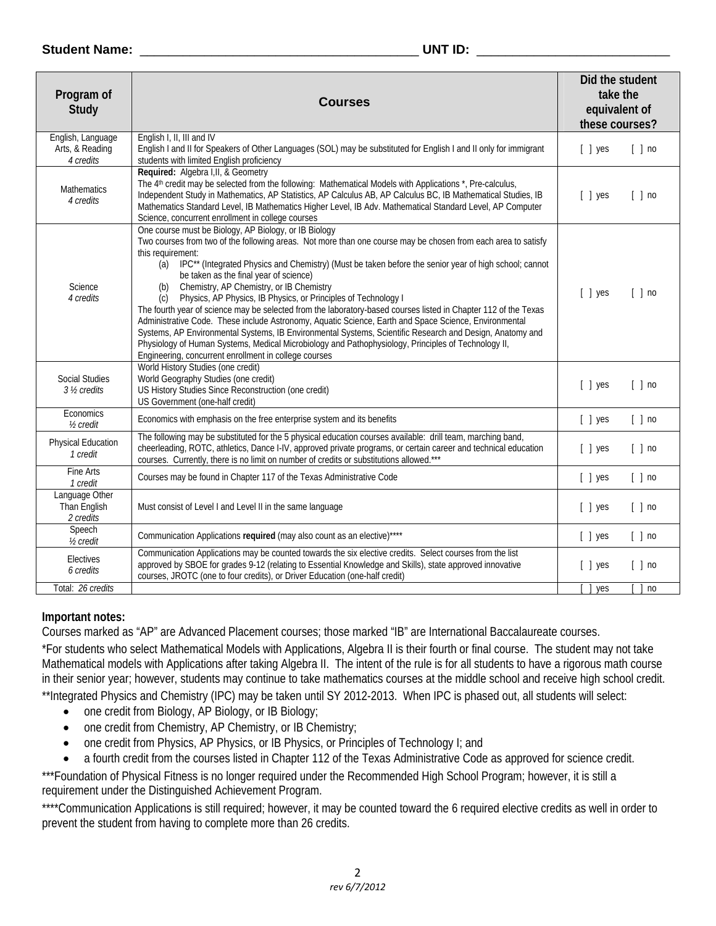#### **Student Name:** \_\_\_\_\_\_\_\_\_\_\_\_\_\_\_\_\_\_\_\_\_\_\_\_\_\_\_\_\_\_\_\_\_\_\_\_\_\_\_ **UNT ID:** \_\_\_\_\_\_\_\_\_\_\_\_\_\_\_\_\_\_\_\_\_\_\_\_\_\_\_

| Program of<br>Study                               | <b>Courses</b>                                                                                                                                                                                                                                                                                                                                                                                                                                                                                                                                                                                                                                                                                                                                                                                                                                                                                                                                                                            | Did the student<br>take the<br>equivalent of<br>these courses? |
|---------------------------------------------------|-------------------------------------------------------------------------------------------------------------------------------------------------------------------------------------------------------------------------------------------------------------------------------------------------------------------------------------------------------------------------------------------------------------------------------------------------------------------------------------------------------------------------------------------------------------------------------------------------------------------------------------------------------------------------------------------------------------------------------------------------------------------------------------------------------------------------------------------------------------------------------------------------------------------------------------------------------------------------------------------|----------------------------------------------------------------|
| English, Language<br>Arts, & Reading<br>4 credits | English I, II, III and IV<br>English I and II for Speakers of Other Languages (SOL) may be substituted for English I and II only for immigrant<br>students with limited English proficiency                                                                                                                                                                                                                                                                                                                                                                                                                                                                                                                                                                                                                                                                                                                                                                                               | $[ ]$ no<br>$[$ $]$ yes                                        |
| <b>Mathematics</b><br>4 credits                   | Required: Algebra I, II, & Geometry<br>The 4 <sup>th</sup> credit may be selected from the following: Mathematical Models with Applications *, Pre-calculus,<br>Independent Study in Mathematics, AP Statistics, AP Calculus AB, AP Calculus BC, IB Mathematical Studies, IB<br>Mathematics Standard Level, IB Mathematics Higher Level, IB Adv. Mathematical Standard Level, AP Computer<br>Science, concurrent enrollment in college courses                                                                                                                                                                                                                                                                                                                                                                                                                                                                                                                                            | $[ ]$ no<br>[ ] yes                                            |
| Science<br>4 credits                              | One course must be Biology, AP Biology, or IB Biology<br>Two courses from two of the following areas. Not more than one course may be chosen from each area to satisfy<br>this requirement:<br>IPC** (Integrated Physics and Chemistry) (Must be taken before the senior year of high school; cannot<br>(a)<br>be taken as the final year of science)<br>Chemistry, AP Chemistry, or IB Chemistry<br>(b)<br>Physics, AP Physics, IB Physics, or Principles of Technology I<br>(c)<br>The fourth year of science may be selected from the laboratory-based courses listed in Chapter 112 of the Texas<br>Administrative Code. These include Astronomy, Aquatic Science, Earth and Space Science, Environmental<br>Systems, AP Environmental Systems, IB Environmental Systems, Scientific Research and Design, Anatomy and<br>Physiology of Human Systems, Medical Microbiology and Pathophysiology, Principles of Technology II,<br>Engineering, concurrent enrollment in college courses | [ ] yes<br>$[ ]$ no                                            |
| <b>Social Studies</b><br>3 ½ credits              | World History Studies (one credit)<br>World Geography Studies (one credit)<br>US History Studies Since Reconstruction (one credit)<br>US Government (one-half credit)                                                                                                                                                                                                                                                                                                                                                                                                                                                                                                                                                                                                                                                                                                                                                                                                                     | $[ ]$ no<br>$[ ]$ yes                                          |
| Economics<br>1/ <sub>2</sub> credit               | Economics with emphasis on the free enterprise system and its benefits                                                                                                                                                                                                                                                                                                                                                                                                                                                                                                                                                                                                                                                                                                                                                                                                                                                                                                                    | [ ] yes<br>$[ ]$ no                                            |
| Physical Education<br>1 credit                    | The following may be substituted for the 5 physical education courses available: drill team, marching band,<br>cheerleading, ROTC, athletics, Dance I-IV, approved private programs, or certain career and technical education<br>courses. Currently, there is no limit on number of credits or substitutions allowed.***                                                                                                                                                                                                                                                                                                                                                                                                                                                                                                                                                                                                                                                                 | [ ] yes<br>$[ ]$ no                                            |
| Fine Arts<br>1 credit                             | Courses may be found in Chapter 117 of the Texas Administrative Code                                                                                                                                                                                                                                                                                                                                                                                                                                                                                                                                                                                                                                                                                                                                                                                                                                                                                                                      | $[ ]$ yes<br>$[ ]$ no                                          |
| Language Other<br>Than English<br>2 credits       | Must consist of Level I and Level II in the same language                                                                                                                                                                                                                                                                                                                                                                                                                                                                                                                                                                                                                                                                                                                                                                                                                                                                                                                                 | $[ ]$ no<br>$[ ]$ yes                                          |
| Speech<br>1/2 credit                              | Communication Applications required (may also count as an elective)****                                                                                                                                                                                                                                                                                                                                                                                                                                                                                                                                                                                                                                                                                                                                                                                                                                                                                                                   | $[ ]$ yes<br>$[ ]$ no                                          |
| Electives<br>6 credits<br>Total: 26 credits       | Communication Applications may be counted towards the six elective credits. Select courses from the list<br>approved by SBOE for grades 9-12 (relating to Essential Knowledge and Skills), state approved innovative<br>courses, JROTC (one to four credits), or Driver Education (one-half credit)                                                                                                                                                                                                                                                                                                                                                                                                                                                                                                                                                                                                                                                                                       | $[ ]$ no<br>[ ] yes                                            |
|                                                   |                                                                                                                                                                                                                                                                                                                                                                                                                                                                                                                                                                                                                                                                                                                                                                                                                                                                                                                                                                                           | yes<br>n <sub>0</sub>                                          |

## **Important notes:**

Courses marked as "AP" are Advanced Placement courses; those marked "IB" are International Baccalaureate courses.

\*For students who select Mathematical Models with Applications, Algebra II is their fourth or final course. The student may not take Mathematical models with Applications after taking Algebra II. The intent of the rule is for all students to have a rigorous math course in their senior year; however, students may continue to take mathematics courses at the middle school and receive high school credit.

\*\*Integrated Physics and Chemistry (IPC) may be taken until SY 2012-2013. When IPC is phased out, all students will select:

- one credit from Biology, AP Biology, or IB Biology;
- one credit from Chemistry, AP Chemistry, or IB Chemistry;
- one credit from Physics, AP Physics, or IB Physics, or Principles of Technology I; and
- a fourth credit from the courses listed in Chapter 112 of the Texas Administrative Code as approved for science credit.

\*\*\*Foundation of Physical Fitness is no longer required under the Recommended High School Program; however, it is still a requirement under the Distinguished Achievement Program.

\*\*\*\*Communication Applications is still required; however, it may be counted toward the 6 required elective credits as well in order to prevent the student from having to complete more than 26 credits.